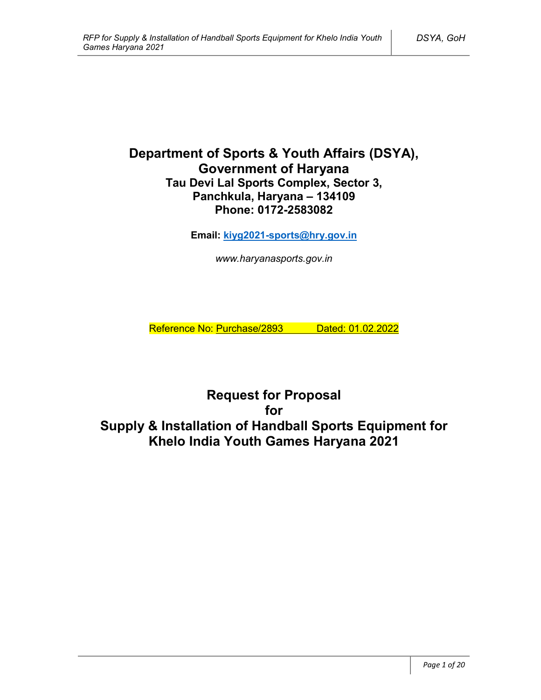# **Department of Sports & Youth Affairs (DSYA), Government of Haryana Tau Devi Lal Sports Complex, Sector 3, Panchkula, Haryana – 134109 Phone: 0172-2583082**

**Email: kiyg2021-sports@hry.gov.in**

*www.haryanasports.gov.in*

Reference No: Purchase/2893 Dated: 01.02.2022

**Request for Proposal for Supply & Installation of Handball Sports Equipment for Khelo India Youth Games Haryana 2021**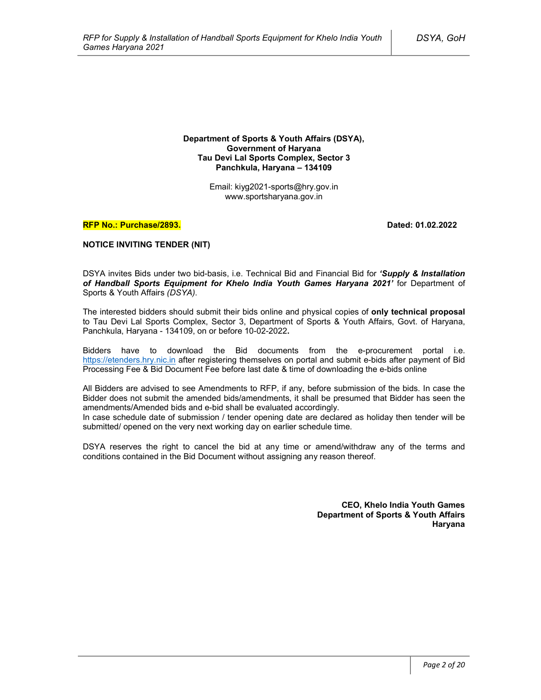**Department of Sports & Youth Affairs (DSYA), Government of Haryana Tau Devi Lal Sports Complex, Sector 3 Panchkula, Haryana – 134109**

> Email: kiyg2021-sports@hry.gov.in www.sportsharyana.gov.in

#### **RFP No.: Purchase/2893. Dated: 01.02.2022**

#### **NOTICE INVITING TENDER (NIT)**

DSYA invites Bids under two bid-basis, i.e. Technical Bid and Financial Bid for *'Supply & Installation of Handball Sports Equipment for Khelo India Youth Games Haryana 2021'* for Department of Sports & Youth Affairs *(DSYA)*.

The interested bidders should submit their bids online and physical copies of **only technical proposal** to Tau Devi Lal Sports Complex, Sector 3, Department of Sports & Youth Affairs, Govt. of Haryana, Panchkula, Haryana - 134109, on or before 10-02-2022**.**

Bidders have to download the Bid documents from the e-procurement portal i.e. https://etenders.hry.nic.in after registering themselves on portal and submit e-bids after payment of Bid Processing Fee & Bid Document Fee before last date & time of downloading the e-bids online

All Bidders are advised to see Amendments to RFP, if any, before submission of the bids. In case the Bidder does not submit the amended bids/amendments, it shall be presumed that Bidder has seen the amendments/Amended bids and e-bid shall be evaluated accordingly.

In case schedule date of submission / tender opening date are declared as holiday then tender will be submitted/ opened on the very next working day on earlier schedule time.

DSYA reserves the right to cancel the bid at any time or amend/withdraw any of the terms and conditions contained in the Bid Document without assigning any reason thereof.

> **CEO, Khelo India Youth Games Department of Sports & Youth Affairs Haryana**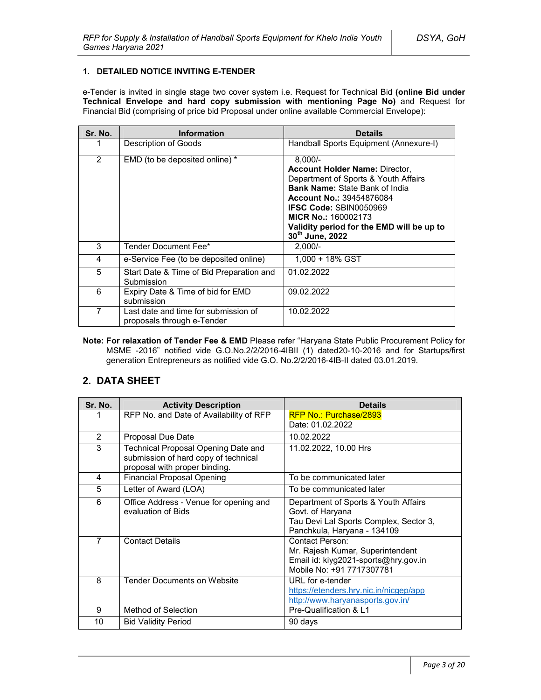### **1. DETAILED NOTICE INVITING E-TENDER**

e-Tender is invited in single stage two cover system i.e. Request for Technical Bid **(online Bid under Technical Envelope and hard copy submission with mentioning Page No)** and Request for Financial Bid (comprising of price bid Proposal under online available Commercial Envelope):

| Sr. No. | <b>Information</b>                                                 | <b>Details</b>                                                                                                                                                                                                                                                                                        |
|---------|--------------------------------------------------------------------|-------------------------------------------------------------------------------------------------------------------------------------------------------------------------------------------------------------------------------------------------------------------------------------------------------|
|         | Description of Goods                                               | Handball Sports Equipment (Annexure-I)                                                                                                                                                                                                                                                                |
| 2       | EMD (to be deposited online) *                                     | $8.000/-$<br><b>Account Holder Name: Director,</b><br>Department of Sports & Youth Affairs<br><b>Bank Name: State Bank of India</b><br><b>Account No.: 39454876084</b><br><b>IFSC Code: SBIN0050969</b><br><b>MICR No.: 160002173</b><br>Validity period for the EMD will be up to<br>30th June, 2022 |
| 3       | Tender Document Fee*                                               | $2,000/-$                                                                                                                                                                                                                                                                                             |
| 4       | e-Service Fee (to be deposited online)                             | $1.000 + 18\%$ GST                                                                                                                                                                                                                                                                                    |
| 5       | Start Date & Time of Bid Preparation and<br>Submission             | 01.02.2022                                                                                                                                                                                                                                                                                            |
| 6       | Expiry Date & Time of bid for EMD<br>submission                    | 09.02.2022                                                                                                                                                                                                                                                                                            |
| 7       | Last date and time for submission of<br>proposals through e-Tender | 10.02.2022                                                                                                                                                                                                                                                                                            |

**Note: For relaxation of Tender Fee & EMD** Please refer "Haryana State Public Procurement Policy for MSME -2016" notified vide G.O.No.2/2/2016-4IBII (1) dated20-10-2016 and for Startups/first generation Entrepreneurs as notified vide G.O. No.2/2/2016-4IB-II dated 03.01.2019.

# **2. DATA SHEET**

| Sr. No.        | <b>Activity Description</b>                                                                                  | <b>Details</b>                                                                                                                    |
|----------------|--------------------------------------------------------------------------------------------------------------|-----------------------------------------------------------------------------------------------------------------------------------|
|                | RFP No. and Date of Availability of RFP                                                                      | <b>RFP No.: Purchase/2893</b>                                                                                                     |
|                |                                                                                                              | Date: 01.02.2022                                                                                                                  |
| $\overline{2}$ | Proposal Due Date                                                                                            | 10.02.2022                                                                                                                        |
| 3              | Technical Proposal Opening Date and<br>submission of hard copy of technical<br>proposal with proper binding. | 11.02.2022, 10.00 Hrs                                                                                                             |
| 4              | <b>Financial Proposal Opening</b>                                                                            | To be communicated later                                                                                                          |
| 5              | Letter of Award (LOA)                                                                                        | To be communicated later                                                                                                          |
| 6              | Office Address - Venue for opening and<br>evaluation of Bids                                                 | Department of Sports & Youth Affairs<br>Govt. of Haryana<br>Tau Devi Lal Sports Complex, Sector 3,<br>Panchkula, Haryana - 134109 |
| $\overline{7}$ | <b>Contact Details</b>                                                                                       | Contact Person:<br>Mr. Rajesh Kumar, Superintendent<br>Email id: kiyg2021-sports@hry.gov.in<br>Mobile No: +91 7717307781          |
| 8              | <b>Tender Documents on Website</b>                                                                           | URL for e-tender<br>https://etenders.hry.nic.in/nicgep/app<br>http://www.haryanasports.gov.in/                                    |
| 9              | Method of Selection                                                                                          | Pre-Qualification & L1                                                                                                            |
| 10             | <b>Bid Validity Period</b>                                                                                   | 90 days                                                                                                                           |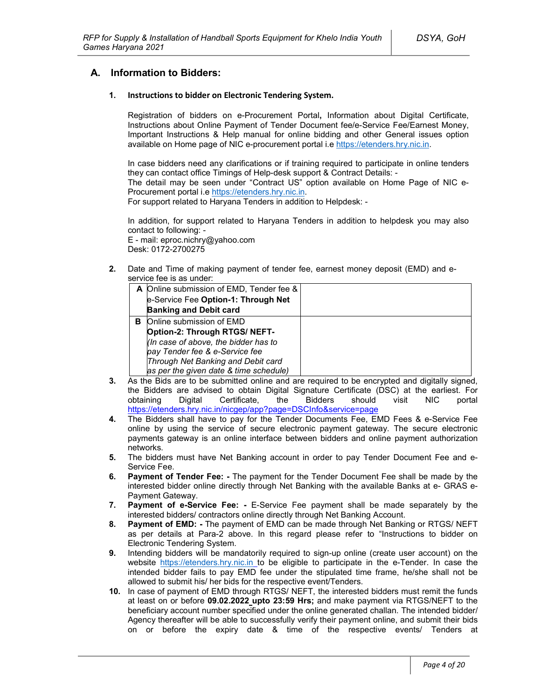# **A. Information to Bidders:**

#### **1. Instructions to bidder on Electronic Tendering System.**

Registration of bidders on e-Procurement Portal**,** Information about Digital Certificate, Instructions about Online Payment of Tender Document fee/e-Service Fee/Earnest Money, Important Instructions & Help manual for online bidding and other General issues option available on Home page of NIC e-procurement portal i.e https://etenders.hry.nic.in.

In case bidders need any clarifications or if training required to participate in online tenders they can contact office Timings of Help-desk support & Contract Details: -

The detail may be seen under "Contract US" option available on Home Page of NIC e-Procurement portal i.e https://etenders.hry.nic.in.

For support related to Haryana Tenders in addition to Helpdesk: -

In addition, for support related to Haryana Tenders in addition to helpdesk you may also contact to following: -

E - mail: eproc.nichry@yahoo.com Desk: 0172-2700275

**2.** Date and Time of making payment of tender fee, earnest money deposit (EMD) and eservice fee is as under:

|   | A Online submission of EMD, Tender fee & |  |
|---|------------------------------------------|--|
|   | e-Service Fee Option-1: Through Net      |  |
|   | <b>Banking and Debit card</b>            |  |
| в | Online submission of EMD                 |  |
|   | Option-2: Through RTGS/ NEFT-            |  |
|   | (In case of above, the bidder has to     |  |
|   | pay Tender fee & e-Service fee           |  |
|   | Through Net Banking and Debit card       |  |
|   | as per the given date & time schedule)   |  |

- **3.** As the Bids are to be submitted online and are required to be encrypted and digitally signed, the Bidders are advised to obtain Digital Signature Certificate (DSC) at the earliest. For obtaining Digital Certificate, the Bidders should visit NIC portal https://etenders.hry.nic.in/nicgep/app?page=DSCInfo&service=page
- **4.** The Bidders shall have to pay for the Tender Documents Fee, EMD Fees & e-Service Fee online by using the service of secure electronic payment gateway. The secure electronic payments gateway is an online interface between bidders and online payment authorization networks.
- **5.** The bidders must have Net Banking account in order to pay Tender Document Fee and e-Service Fee.
- **6. Payment of Tender Fee: -** The payment for the Tender Document Fee shall be made by the interested bidder online directly through Net Banking with the available Banks at e- GRAS e-Payment Gateway.
- **7. Payment of e-Service Fee: -** E-Service Fee payment shall be made separately by the interested bidders/ contractors online directly through Net Banking Account.
- **8. Payment of EMD: -** The payment of EMD can be made through Net Banking or RTGS/ NEFT as per details at Para-2 above. In this regard please refer to "Instructions to bidder on Electronic Tendering System.
- **9.** Intending bidders will be mandatorily required to sign-up online (create user account) on the website https://etenders.hry.nic.in to be eligible to participate in the e-Tender. In case the intended bidder fails to pay EMD fee under the stipulated time frame, he/she shall not be allowed to submit his/ her bids for the respective event/Tenders.
- **10.** In case of payment of EMD through RTGS/ NEFT, the interested bidders must remit the funds at least on or before **09.02.2022 upto 23:59 Hrs;** and make payment via RTGS/NEFT to the beneficiary account number specified under the online generated challan. The intended bidder/ Agency thereafter will be able to successfully verify their payment online, and submit their bids on or before the expiry date & time of the respective events/ Tenders at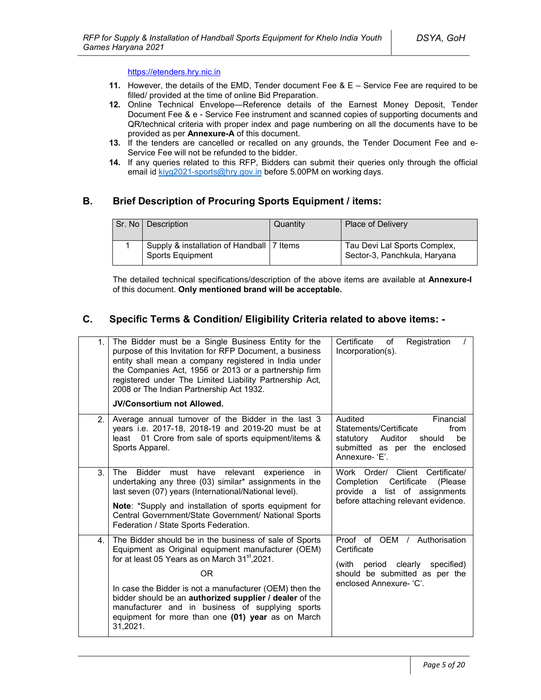#### https://etenders.hry.nic.in

- **11.** However, the details of the EMD, Tender document Fee & E Service Fee are required to be filled/ provided at the time of online Bid Preparation.
- **12.** Online Technical Envelope—Reference details of the Earnest Money Deposit, Tender Document Fee & e - Service Fee instrument and scanned copies of supporting documents and QR/technical criteria with proper index and page numbering on all the documents have to be provided as per **Annexure-A** of this document.
- **13.** If the tenders are cancelled or recalled on any grounds, the Tender Document Fee and e-Service Fee will not be refunded to the bidder.
- **14.** If any queries related to this RFP, Bidders can submit their queries only through the official email id kiyg2021-sports@hry.gov.in before 5.00PM on working days.

# **B. Brief Description of Procuring Sports Equipment / items:**

| Sr. No   Description                                                   | Quantity | <b>Place of Delivery</b>                                     |
|------------------------------------------------------------------------|----------|--------------------------------------------------------------|
| Supply & installation of Handball   7 Items<br><b>Sports Equipment</b> |          | Tau Devi Lal Sports Complex,<br>Sector-3, Panchkula, Haryana |

The detailed technical specifications/description of the above items are available at **Annexure-I** of this document. **Only mentioned brand will be acceptable.** 

# **C. Specific Terms & Condition/ Eligibility Criteria related to above items: -**

| 1.             | The Bidder must be a Single Business Entity for the<br>purpose of this Invitation for RFP Document, a business<br>entity shall mean a company registered in India under<br>the Companies Act, 1956 or 2013 or a partnership firm<br>registered under The Limited Liability Partnership Act,<br>2008 or The Indian Partnership Act 1932.                                                                                                 | Registration<br>Certificate<br>of<br>Incorporation(s).                                                                                            |
|----------------|-----------------------------------------------------------------------------------------------------------------------------------------------------------------------------------------------------------------------------------------------------------------------------------------------------------------------------------------------------------------------------------------------------------------------------------------|---------------------------------------------------------------------------------------------------------------------------------------------------|
|                | <b>JV/Consortium not Allowed.</b>                                                                                                                                                                                                                                                                                                                                                                                                       |                                                                                                                                                   |
| 2 <sub>1</sub> | Average annual turnover of the Bidder in the last 3<br>years i.e. 2017-18, 2018-19 and 2019-20 must be at<br>least 01 Crore from sale of sports equipment/items &<br>Sports Apparel.                                                                                                                                                                                                                                                    | Audited<br>Financial<br>Statements/Certificate<br>from<br>Auditor<br>be<br>statutory<br>should<br>submitted as per the enclosed<br>Annexure- 'F'. |
| 3.             | Bidder must<br>relevant<br>The<br>have<br>experience<br>in.<br>undertaking any three (03) similar* assignments in the<br>last seven (07) years (International/National level).<br>Note: *Supply and installation of sports equipment for<br>Central Government/State Government/ National Sports<br>Federation / State Sports Federation.                                                                                               | Work Order/ Client Certificate/<br>Certificate<br>Completion<br>(Please)<br>provide a list of assignments<br>before attaching relevant evidence.  |
| 4 <sup>1</sup> | The Bidder should be in the business of sale of Sports<br>Equipment as Original equipment manufacturer (OEM)<br>for at least 05 Years as on March 31 <sup>st</sup> , 2021.<br>0 <sub>R</sub><br>In case the Bidder is not a manufacturer (OEM) then the<br>bidder should be an authorized supplier / dealer of the<br>manufacturer and in business of supplying sports<br>equipment for more than one (01) year as on March<br>31,2021. | Proof of OEM / Authorisation<br>Certificate<br>period clearly<br>specified)<br>(with<br>should be submitted as per the<br>enclosed Annexure- 'C'. |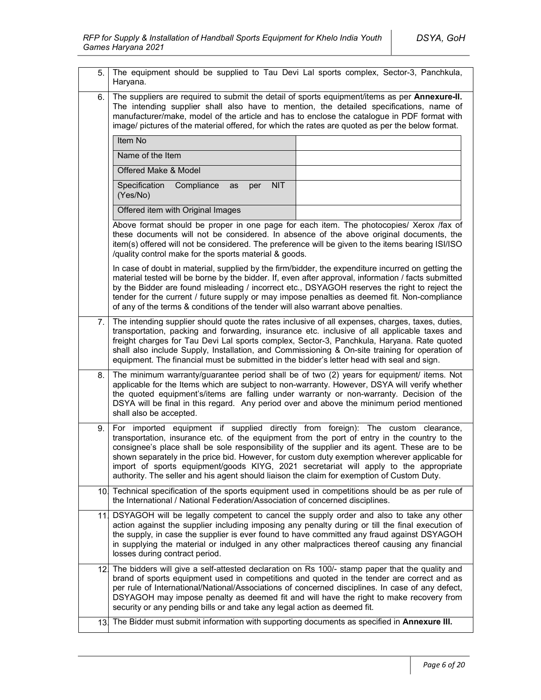| 5.  | The equipment should be supplied to Tau Devi Lal sports complex, Sector-3, Panchkula,<br>Haryana.                                                                                                                                                                                                                                                                                                                                                                                                                                                                         |  |  |
|-----|---------------------------------------------------------------------------------------------------------------------------------------------------------------------------------------------------------------------------------------------------------------------------------------------------------------------------------------------------------------------------------------------------------------------------------------------------------------------------------------------------------------------------------------------------------------------------|--|--|
| 6.  | The suppliers are required to submit the detail of sports equipment/items as per Annexure-II.<br>The intending supplier shall also have to mention, the detailed specifications, name of<br>manufacturer/make, model of the article and has to enclose the catalogue in PDF format with<br>image/ pictures of the material offered, for which the rates are quoted as per the below format.                                                                                                                                                                               |  |  |
|     | Item No                                                                                                                                                                                                                                                                                                                                                                                                                                                                                                                                                                   |  |  |
|     | Name of the Item                                                                                                                                                                                                                                                                                                                                                                                                                                                                                                                                                          |  |  |
|     | Offered Make & Model                                                                                                                                                                                                                                                                                                                                                                                                                                                                                                                                                      |  |  |
|     | <b>NIT</b><br>Specification<br>Compliance<br>as<br>per<br>(Yes/No)                                                                                                                                                                                                                                                                                                                                                                                                                                                                                                        |  |  |
|     | Offered item with Original Images                                                                                                                                                                                                                                                                                                                                                                                                                                                                                                                                         |  |  |
|     | Above format should be proper in one page for each item. The photocopies/ Xerox /fax of<br>these documents will not be considered. In absence of the above original documents, the<br>item(s) offered will not be considered. The preference will be given to the items bearing ISI/ISO<br>/quality control make for the sports material & goods.                                                                                                                                                                                                                         |  |  |
|     | In case of doubt in material, supplied by the firm/bidder, the expenditure incurred on getting the<br>material tested will be borne by the bidder. If, even after approval, information / facts submitted<br>by the Bidder are found misleading / incorrect etc., DSYAGOH reserves the right to reject the<br>tender for the current / future supply or may impose penalties as deemed fit. Non-compliance<br>of any of the terms & conditions of the tender will also warrant above penalties.                                                                           |  |  |
| 7.  | The intending supplier should quote the rates inclusive of all expenses, charges, taxes, duties,<br>transportation, packing and forwarding, insurance etc. inclusive of all applicable taxes and<br>freight charges for Tau Devi Lal sports complex, Sector-3, Panchkula, Haryana. Rate quoted<br>shall also include Supply, Installation, and Commissioning & On-site training for operation of<br>equipment. The financial must be submitted in the bidder's letter head with seal and sign.                                                                            |  |  |
| 8.  | The minimum warranty/guarantee period shall be of two (2) years for equipment/ items. Not<br>applicable for the Items which are subject to non-warranty. However, DSYA will verify whether<br>the quoted equipment's/items are falling under warranty or non-warranty. Decision of the<br>DSYA will be final in this regard. Any period over and above the minimum period mentioned<br>shall also be accepted.                                                                                                                                                            |  |  |
| 9.  | For imported equipment if supplied directly from foreign): The custom clearance,<br>transportation, insurance etc. of the equipment from the port of entry in the country to the<br>consignee's place shall be sole responsibility of the supplier and its agent. These are to be<br>shown separately in the price bid. However, for custom duty exemption wherever applicable for<br>import of sports equipment/goods KIYG, 2021 secretariat will apply to the appropriate<br>authority. The seller and his agent should liaison the claim for exemption of Custom Duty. |  |  |
|     | 10. Technical specification of the sports equipment used in competitions should be as per rule of<br>the International / National Federation/Association of concerned disciplines.                                                                                                                                                                                                                                                                                                                                                                                        |  |  |
| 11. | DSYAGOH will be legally competent to cancel the supply order and also to take any other<br>action against the supplier including imposing any penalty during or till the final execution of<br>the supply, in case the supplier is ever found to have committed any fraud against DSYAGOH<br>in supplying the material or indulged in any other malpractices thereof causing any financial<br>losses during contract period.                                                                                                                                              |  |  |
|     | 12. The bidders will give a self-attested declaration on Rs 100/- stamp paper that the quality and<br>brand of sports equipment used in competitions and quoted in the tender are correct and as<br>per rule of International/National/Associations of concerned disciplines. In case of any defect,<br>DSYAGOH may impose penalty as deemed fit and will have the right to make recovery from<br>security or any pending bills or and take any legal action as deemed fit.                                                                                               |  |  |
| 13. | The Bidder must submit information with supporting documents as specified in Annexure III.                                                                                                                                                                                                                                                                                                                                                                                                                                                                                |  |  |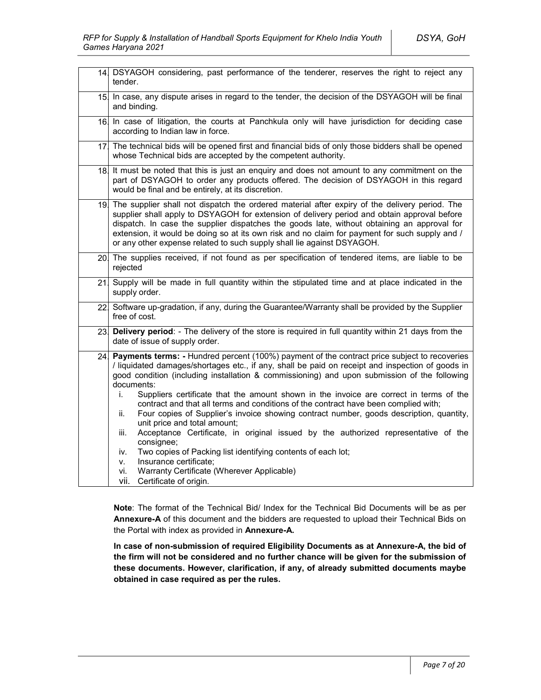|     | 14. DSYAGOH considering, past performance of the tenderer, reserves the right to reject any<br>tender.                                                                                                                                                                                                                                                                                                                                                                                                                                                                                                                                                                                                                                                                                                                                                                                                                                            |  |  |
|-----|---------------------------------------------------------------------------------------------------------------------------------------------------------------------------------------------------------------------------------------------------------------------------------------------------------------------------------------------------------------------------------------------------------------------------------------------------------------------------------------------------------------------------------------------------------------------------------------------------------------------------------------------------------------------------------------------------------------------------------------------------------------------------------------------------------------------------------------------------------------------------------------------------------------------------------------------------|--|--|
| 15. | In case, any dispute arises in regard to the tender, the decision of the DSYAGOH will be final<br>and binding.                                                                                                                                                                                                                                                                                                                                                                                                                                                                                                                                                                                                                                                                                                                                                                                                                                    |  |  |
|     | 16. In case of litigation, the courts at Panchkula only will have jurisdiction for deciding case<br>according to Indian law in force.                                                                                                                                                                                                                                                                                                                                                                                                                                                                                                                                                                                                                                                                                                                                                                                                             |  |  |
| 17. | The technical bids will be opened first and financial bids of only those bidders shall be opened<br>whose Technical bids are accepted by the competent authority.                                                                                                                                                                                                                                                                                                                                                                                                                                                                                                                                                                                                                                                                                                                                                                                 |  |  |
| 18. | It must be noted that this is just an enquiry and does not amount to any commitment on the<br>part of DSYAGOH to order any products offered. The decision of DSYAGOH in this regard<br>would be final and be entirely, at its discretion.                                                                                                                                                                                                                                                                                                                                                                                                                                                                                                                                                                                                                                                                                                         |  |  |
|     | 19. The supplier shall not dispatch the ordered material after expiry of the delivery period. The<br>supplier shall apply to DSYAGOH for extension of delivery period and obtain approval before<br>dispatch. In case the supplier dispatches the goods late, without obtaining an approval for<br>extension, it would be doing so at its own risk and no claim for payment for such supply and /<br>or any other expense related to such supply shall lie against DSYAGOH.                                                                                                                                                                                                                                                                                                                                                                                                                                                                       |  |  |
|     | 20. The supplies received, if not found as per specification of tendered items, are liable to be<br>rejected                                                                                                                                                                                                                                                                                                                                                                                                                                                                                                                                                                                                                                                                                                                                                                                                                                      |  |  |
| 21. | Supply will be made in full quantity within the stipulated time and at place indicated in the<br>supply order.                                                                                                                                                                                                                                                                                                                                                                                                                                                                                                                                                                                                                                                                                                                                                                                                                                    |  |  |
| 22. | Software up-gradation, if any, during the Guarantee/Warranty shall be provided by the Supplier<br>free of cost.                                                                                                                                                                                                                                                                                                                                                                                                                                                                                                                                                                                                                                                                                                                                                                                                                                   |  |  |
| 23. | Delivery period: - The delivery of the store is required in full quantity within 21 days from the<br>date of issue of supply order.                                                                                                                                                                                                                                                                                                                                                                                                                                                                                                                                                                                                                                                                                                                                                                                                               |  |  |
| 24. | Payments terms: - Hundred percent (100%) payment of the contract price subject to recoveries<br>/ liquidated damages/shortages etc., if any, shall be paid on receipt and inspection of goods in<br>good condition (including installation & commissioning) and upon submission of the following<br>documents:<br>Suppliers certificate that the amount shown in the invoice are correct in terms of the<br>i.<br>contract and that all terms and conditions of the contract have been complied with;<br>Four copies of Supplier's invoice showing contract number, goods description, quantity,<br>ii.<br>unit price and total amount;<br>Acceptance Certificate, in original issued by the authorized representative of the<br>iii.<br>consignee;<br>Two copies of Packing list identifying contents of each lot;<br>iv.<br>Insurance certificate;<br>v.<br>Warranty Certificate (Wherever Applicable)<br>vi.<br>vii.<br>Certificate of origin. |  |  |

**Note**: The format of the Technical Bid/ Index for the Technical Bid Documents will be as per **Annexure-A** of this document and the bidders are requested to upload their Technical Bids on the Portal with index as provided in **Annexure-A.**

**In case of non-submission of required Eligibility Documents as at Annexure-A, the bid of the firm will not be considered and no further chance will be given for the submission of these documents. However, clarification, if any, of already submitted documents maybe obtained in case required as per the rules.**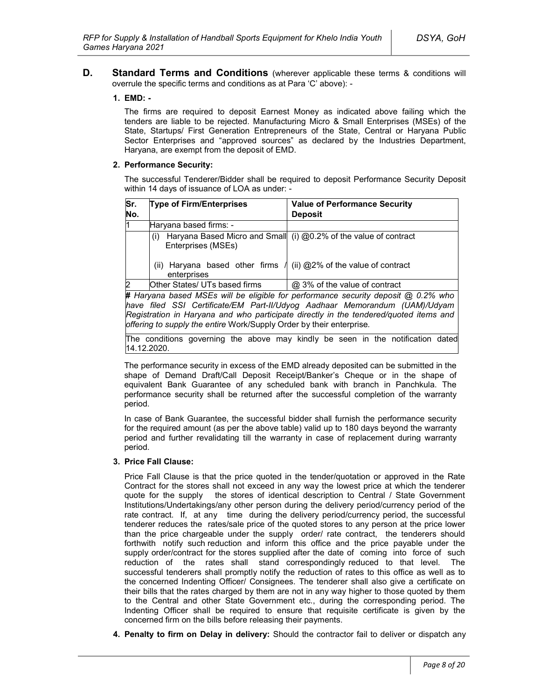**D. Standard Terms and Conditions** (wherever applicable these terms & conditions will overrule the specific terms and conditions as at Para 'C' above): -

#### **1. EMD: -**

The firms are required to deposit Earnest Money as indicated above failing which the tenders are liable to be rejected. Manufacturing Micro & Small Enterprises (MSEs) of the State, Startups/ First Generation Entrepreneurs of the State, Central or Haryana Public Sector Enterprises and "approved sources" as declared by the Industries Department, Haryana, are exempt from the deposit of EMD.

#### **2. Performance Security:**

The successful Tenderer/Bidder shall be required to deposit Performance Security Deposit within 14 days of issuance of LOA as under: -

| Sr.<br>No.   | <b>Type of Firm/Enterprises</b>                                                                                                                                                                                                             | <b>Value of Performance Security</b><br><b>Deposit</b>                            |  |
|--------------|---------------------------------------------------------------------------------------------------------------------------------------------------------------------------------------------------------------------------------------------|-----------------------------------------------------------------------------------|--|
| 11           | Haryana based firms: -                                                                                                                                                                                                                      |                                                                                   |  |
|              | (i)<br>Enterprises (MSEs)                                                                                                                                                                                                                   | Haryana Based Micro and Small (i) @0.2% of the value of contract                  |  |
|              | Haryana based other firms /<br>(ii)<br>enterprises                                                                                                                                                                                          | (ii) @2% of the value of contract                                                 |  |
| <sup>2</sup> | Other States/ UTs based firms                                                                                                                                                                                                               | @ 3% of the value of contract                                                     |  |
|              |                                                                                                                                                                                                                                             | # Haryana based MSEs will be eligible for performance security deposit @ 0.2% who |  |
|              | have filed SSI Certificate/EM Part-II/Udyog Aadhaar Memorandum (UAM)/Udyam<br>Registration in Haryana and who participate directly in the tendered/quoted items and<br>offering to supply the entire Work/Supply Order by their enterprise. |                                                                                   |  |

The conditions governing the above may kindly be seen in the notification dated 14.12.2020.

The performance security in excess of the EMD already deposited can be submitted in the shape of Demand Draft/Call Deposit Receipt/Banker's Cheque or in the shape of equivalent Bank Guarantee of any scheduled bank with branch in Panchkula. The performance security shall be returned after the successful completion of the warranty period.

In case of Bank Guarantee, the successful bidder shall furnish the performance security for the required amount (as per the above table) valid up to 180 days beyond the warranty period and further revalidating till the warranty in case of replacement during warranty period.

#### **3. Price Fall Clause:**

Price Fall Clause is that the price quoted in the tender/quotation or approved in the Rate Contract for the stores shall not exceed in any way the lowest price at which the tenderer quote for the supply the stores of identical description to Central / State Government Institutions/Undertakings/any other person during the delivery period/currency period of the rate contract. If, at any time during the delivery period/currency period, the successful tenderer reduces the rates/sale price of the quoted stores to any person at the price lower than the price chargeable under the supply order/ rate contract, the tenderers should forthwith notify such reduction and inform this office and the price payable under the supply order/contract for the stores supplied after the date of coming into force of such reduction of the rates shall stand correspondingly reduced to that level. The successful tenderers shall promptly notify the reduction of rates to this office as well as to the concerned Indenting Officer/ Consignees. The tenderer shall also give a certificate on their bills that the rates charged by them are not in any way higher to those quoted by them to the Central and other State Government etc., during the corresponding period. The Indenting Officer shall be required to ensure that requisite certificate is given by the concerned firm on the bills before releasing their payments.

**4. Penalty to firm on Delay in delivery:** Should the contractor fail to deliver or dispatch any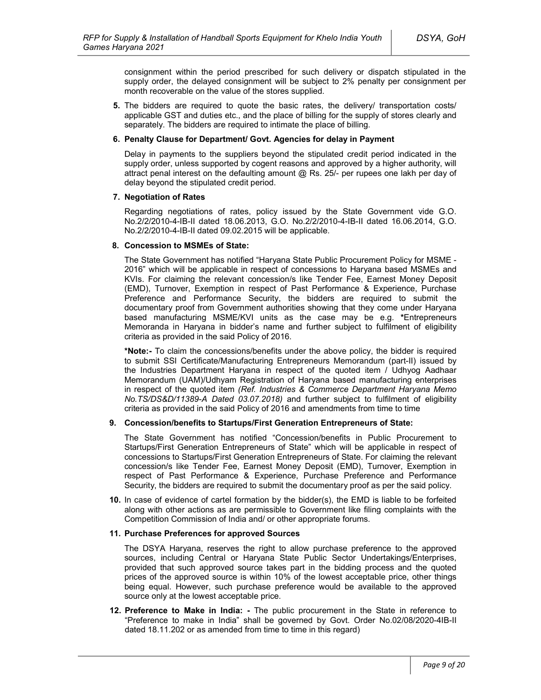consignment within the period prescribed for such delivery or dispatch stipulated in the supply order, the delayed consignment will be subject to 2% penalty per consignment per month recoverable on the value of the stores supplied.

**5.** The bidders are required to quote the basic rates, the delivery/ transportation costs/ applicable GST and duties etc., and the place of billing for the supply of stores clearly and separately. The bidders are required to intimate the place of billing.

#### **6. Penalty Clause for Department/ Govt. Agencies for delay in Payment**

Delay in payments to the suppliers beyond the stipulated credit period indicated in the supply order, unless supported by cogent reasons and approved by a higher authority, will attract penal interest on the defaulting amount  $@$  Rs. 25/- per rupees one lakh per day of delay beyond the stipulated credit period.

#### **7. Negotiation of Rates**

Regarding negotiations of rates, policy issued by the State Government vide G.O. No.2/2/2010-4-IB-II dated 18.06.2013, G.O. No.2/2/2010-4-IB-II dated 16.06.2014, G.O. No.2/2/2010-4-IB-II dated 09.02.2015 will be applicable.

#### **8. Concession to MSMEs of State:**

The State Government has notified "Haryana State Public Procurement Policy for MSME - 2016" which will be applicable in respect of concessions to Haryana based MSMEs and KVIs. For claiming the relevant concession/s like Tender Fee, Earnest Money Deposit (EMD), Turnover, Exemption in respect of Past Performance & Experience, Purchase Preference and Performance Security, the bidders are required to submit the documentary proof from Government authorities showing that they come under Haryana based manufacturing MSME/KVI units as the case may be e.g. **\***Entrepreneurs Memoranda in Haryana in bidder's name and further subject to fulfilment of eligibility criteria as provided in the said Policy of 2016.

**\*Note:-** To claim the concessions/benefits under the above policy, the bidder is required to submit SSI Certificate/Manufacturing Entrepreneurs Memorandum (part-II) issued by the Industries Department Haryana in respect of the quoted item / Udhyog Aadhaar Memorandum (UAM)/Udhyam Registration of Haryana based manufacturing enterprises in respect of the quoted item *(Ref. Industries & Commerce Department Haryana Memo No.TS/DS&D/11389-A Dated 03.07.2018)* and further subject to fulfilment of eligibility criteria as provided in the said Policy of 2016 and amendments from time to time

### **9. Concession/benefits to Startups/First Generation Entrepreneurs of State:**

The State Government has notified "Concession/benefits in Public Procurement to Startups/First Generation Entrepreneurs of State" which will be applicable in respect of concessions to Startups/First Generation Entrepreneurs of State. For claiming the relevant concession/s like Tender Fee, Earnest Money Deposit (EMD), Turnover, Exemption in respect of Past Performance & Experience, Purchase Preference and Performance Security, the bidders are required to submit the documentary proof as per the said policy.

**10.** In case of evidence of cartel formation by the bidder(s), the EMD is liable to be forfeited along with other actions as are permissible to Government like filing complaints with the Competition Commission of India and/ or other appropriate forums.

#### **11. Purchase Preferences for approved Sources**

The DSYA Haryana, reserves the right to allow purchase preference to the approved sources, including Central or Haryana State Public Sector Undertakings/Enterprises, provided that such approved source takes part in the bidding process and the quoted prices of the approved source is within 10% of the lowest acceptable price, other things being equal. However, such purchase preference would be available to the approved source only at the lowest acceptable price.

**12. Preference to Make in India: -** The public procurement in the State in reference to "Preference to make in India" shall be governed by Govt. Order No.02/08/2020-4IB-II dated 18.11.202 or as amended from time to time in this regard)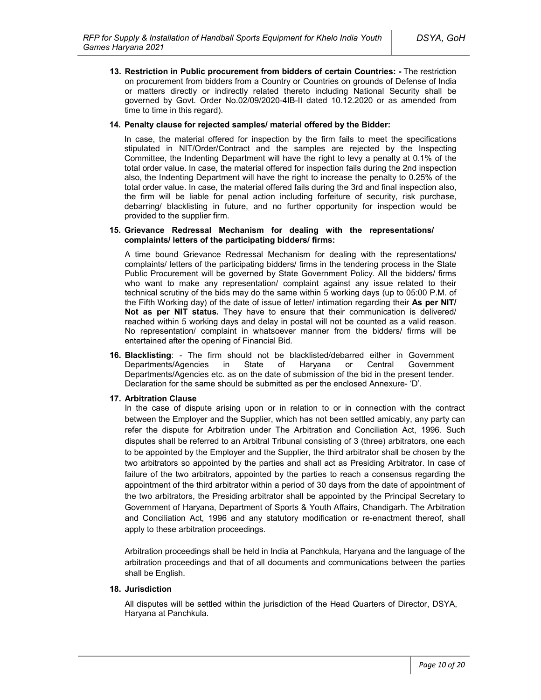**13. Restriction in Public procurement from bidders of certain Countries: -** The restriction on procurement from bidders from a Country or Countries on grounds of Defense of India or matters directly or indirectly related thereto including National Security shall be governed by Govt. Order No.02/09/2020-4IB-II dated 10.12.2020 or as amended from time to time in this regard).

#### **14. Penalty clause for rejected samples/ material offered by the Bidder:**

In case, the material offered for inspection by the firm fails to meet the specifications stipulated in NIT/Order/Contract and the samples are rejected by the Inspecting Committee, the Indenting Department will have the right to levy a penalty at 0.1% of the total order value. In case, the material offered for inspection fails during the 2nd inspection also, the Indenting Department will have the right to increase the penalty to 0.25% of the total order value. In case, the material offered fails during the 3rd and final inspection also, the firm will be liable for penal action including forfeiture of security, risk purchase, debarring/ blacklisting in future, and no further opportunity for inspection would be provided to the supplier firm.

#### **15. Grievance Redressal Mechanism for dealing with the representations/ complaints/ letters of the participating bidders/ firms:**

A time bound Grievance Redressal Mechanism for dealing with the representations/ complaints/ letters of the participating bidders/ firms in the tendering process in the State Public Procurement will be governed by State Government Policy. All the bidders/ firms who want to make any representation/ complaint against any issue related to their technical scrutiny of the bids may do the same within 5 working days (up to 05:00 P.M. of the Fifth Working day) of the date of issue of letter/ intimation regarding their **As per NIT/ Not as per NIT status.** They have to ensure that their communication is delivered/ reached within 5 working days and delay in postal will not be counted as a valid reason. No representation/ complaint in whatsoever manner from the bidders/ firms will be entertained after the opening of Financial Bid.

**16. Blacklisting**: - The firm should not be blacklisted/debarred either in Government Departments/Agencies in State of Haryana or Central Government Departments/Agencies etc. as on the date of submission of the bid in the present tender. Declaration for the same should be submitted as per the enclosed Annexure- 'D'.

### **17. Arbitration Clause**

In the case of dispute arising upon or in relation to or in connection with the contract between the Employer and the Supplier, which has not been settled amicably, any party can refer the dispute for Arbitration under The Arbitration and Conciliation Act, 1996. Such disputes shall be referred to an Arbitral Tribunal consisting of 3 (three) arbitrators, one each to be appointed by the Employer and the Supplier, the third arbitrator shall be chosen by the two arbitrators so appointed by the parties and shall act as Presiding Arbitrator. In case of failure of the two arbitrators, appointed by the parties to reach a consensus regarding the appointment of the third arbitrator within a period of 30 days from the date of appointment of the two arbitrators, the Presiding arbitrator shall be appointed by the Principal Secretary to Government of Haryana, Department of Sports & Youth Affairs, Chandigarh. The Arbitration and Conciliation Act, 1996 and any statutory modification or re-enactment thereof, shall apply to these arbitration proceedings.

Arbitration proceedings shall be held in India at Panchkula, Haryana and the language of the arbitration proceedings and that of all documents and communications between the parties shall be English.

### **18. Jurisdiction**

All disputes will be settled within the jurisdiction of the Head Quarters of Director, DSYA, Haryana at Panchkula.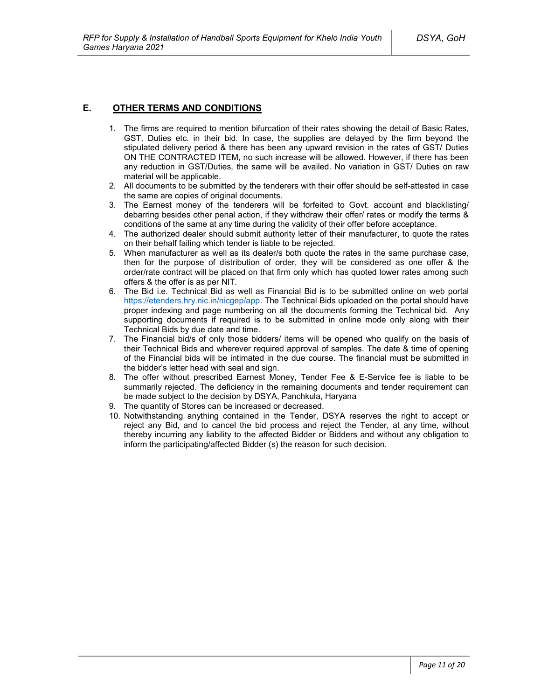### **E. OTHER TERMS AND CONDITIONS**

- 1. The firms are required to mention bifurcation of their rates showing the detail of Basic Rates, GST, Duties etc. in their bid. In case, the supplies are delayed by the firm beyond the stipulated delivery period & there has been any upward revision in the rates of GST/ Duties ON THE CONTRACTED ITEM, no such increase will be allowed. However, if there has been any reduction in GST/Duties, the same will be availed. No variation in GST/ Duties on raw material will be applicable.
- 2. All documents to be submitted by the tenderers with their offer should be self-attested in case the same are copies of original documents.
- 3. The Earnest money of the tenderers will be forfeited to Govt. account and blacklisting/ debarring besides other penal action, if they withdraw their offer/ rates or modify the terms & conditions of the same at any time during the validity of their offer before acceptance.
- 4. The authorized dealer should submit authority letter of their manufacturer, to quote the rates on their behalf failing which tender is liable to be rejected.
- 5. When manufacturer as well as its dealer/s both quote the rates in the same purchase case, then for the purpose of distribution of order, they will be considered as one offer & the order/rate contract will be placed on that firm only which has quoted lower rates among such offers & the offer is as per NIT.
- 6. The Bid i.e. Technical Bid as well as Financial Bid is to be submitted online on web portal https://etenders.hry.nic.in/nicgep/app. The Technical Bids uploaded on the portal should have proper indexing and page numbering on all the documents forming the Technical bid. Any supporting documents if required is to be submitted in online mode only along with their Technical Bids by due date and time.
- 7. The Financial bid/s of only those bidders/ items will be opened who qualify on the basis of their Technical Bids and wherever required approval of samples. The date & time of opening of the Financial bids will be intimated in the due course. The financial must be submitted in the bidder's letter head with seal and sign.
- 8. The offer without prescribed Earnest Money, Tender Fee & E-Service fee is liable to be summarily rejected. The deficiency in the remaining documents and tender requirement can be made subject to the decision by DSYA, Panchkula, Haryana
- 9. The quantity of Stores can be increased or decreased.
- 10. Notwithstanding anything contained in the Tender, DSYA reserves the right to accept or reject any Bid, and to cancel the bid process and reject the Tender, at any time, without thereby incurring any liability to the affected Bidder or Bidders and without any obligation to inform the participating/affected Bidder (s) the reason for such decision.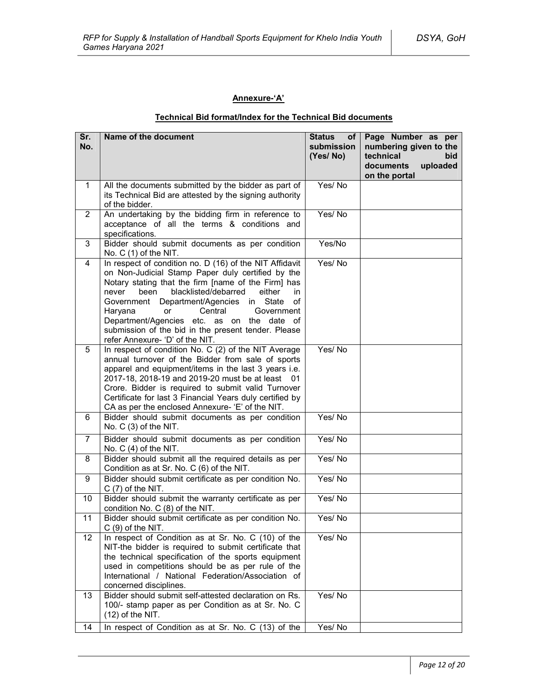### **Annexure-'A'**

### **Technical Bid format/Index for the Technical Bid documents**

| Sr.<br>No.              | Name of the document                                                                                                                                                                                                                                                                                                                                                                                                                                                    | <b>Status</b><br>of <sub>1</sub><br>submission<br>(Yes/No) | Page Number as per<br>numbering given to the<br>technical<br>bid<br>documents<br>uploaded<br>on the portal |
|-------------------------|-------------------------------------------------------------------------------------------------------------------------------------------------------------------------------------------------------------------------------------------------------------------------------------------------------------------------------------------------------------------------------------------------------------------------------------------------------------------------|------------------------------------------------------------|------------------------------------------------------------------------------------------------------------|
| $\mathbf{1}$            | All the documents submitted by the bidder as part of<br>its Technical Bid are attested by the signing authority<br>of the bidder.                                                                                                                                                                                                                                                                                                                                       | Yes/No                                                     |                                                                                                            |
| $\overline{2}$          | An undertaking by the bidding firm in reference to<br>acceptance of all the terms & conditions and<br>specifications.                                                                                                                                                                                                                                                                                                                                                   | Yes/No                                                     |                                                                                                            |
| 3                       | Bidder should submit documents as per condition<br>No. C (1) of the NIT.                                                                                                                                                                                                                                                                                                                                                                                                | Yes/No                                                     |                                                                                                            |
| $\overline{\mathbf{4}}$ | In respect of condition no. D (16) of the NIT Affidavit<br>on Non-Judicial Stamp Paper duly certified by the<br>Notary stating that the firm [name of the Firm] has<br>blacklisted/debarred<br>either<br>never<br>been<br>in.<br>Government Department/Agencies in State<br>οf<br>Haryana<br>Central<br>Government<br><b>or</b><br>Department/Agencies etc. as on the date of<br>submission of the bid in the present tender. Please<br>refer Annexure- 'D' of the NIT. | Yes/No                                                     |                                                                                                            |
| 5                       | In respect of condition No. C (2) of the NIT Average<br>annual turnover of the Bidder from sale of sports<br>apparel and equipment/items in the last 3 years i.e.<br>2017-18, 2018-19 and 2019-20 must be at least 01<br>Crore. Bidder is required to submit valid Turnover<br>Certificate for last 3 Financial Years duly certified by<br>CA as per the enclosed Annexure- 'E' of the NIT.                                                                             | Yes/No                                                     |                                                                                                            |
| 6                       | Bidder should submit documents as per condition<br>No. C (3) of the NIT.                                                                                                                                                                                                                                                                                                                                                                                                | Yes/No                                                     |                                                                                                            |
| $\overline{7}$          | Bidder should submit documents as per condition<br>No. $C(4)$ of the NIT.                                                                                                                                                                                                                                                                                                                                                                                               | Yes/No                                                     |                                                                                                            |
| 8                       | Bidder should submit all the required details as per<br>Condition as at Sr. No. C (6) of the NIT.                                                                                                                                                                                                                                                                                                                                                                       | Yes/No                                                     |                                                                                                            |
| 9                       | Bidder should submit certificate as per condition No.<br>$C(7)$ of the NIT.                                                                                                                                                                                                                                                                                                                                                                                             | Yes/No                                                     |                                                                                                            |
| 10                      | Bidder should submit the warranty certificate as per<br>condition No. C (8) of the NIT.                                                                                                                                                                                                                                                                                                                                                                                 | Yes/No                                                     |                                                                                                            |
| 11                      | Bidder should submit certificate as per condition No.<br>$C(9)$ of the NIT.                                                                                                                                                                                                                                                                                                                                                                                             | Yes/No                                                     |                                                                                                            |
| 12                      | In respect of Condition as at Sr. No. C (10) of the<br>NIT-the bidder is required to submit certificate that<br>the technical specification of the sports equipment<br>used in competitions should be as per rule of the<br>International / National Federation/Association of<br>concerned disciplines.                                                                                                                                                                | Yes/No                                                     |                                                                                                            |
| 13                      | Bidder should submit self-attested declaration on Rs.<br>100/- stamp paper as per Condition as at Sr. No. C<br>$(12)$ of the NIT.                                                                                                                                                                                                                                                                                                                                       | Yes/No                                                     |                                                                                                            |
| 14                      | In respect of Condition as at Sr. No. C (13) of the                                                                                                                                                                                                                                                                                                                                                                                                                     | Yes/No                                                     |                                                                                                            |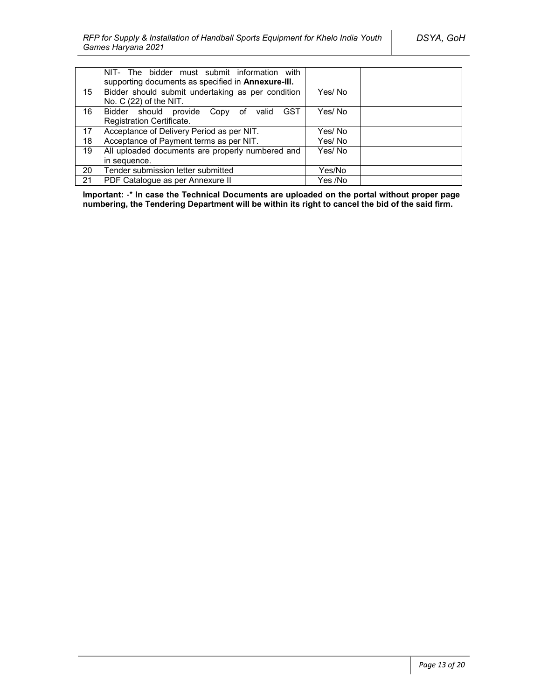|    | NIT- The bidder must submit information with<br>supporting documents as specified in <b>Annexure-III</b> . |         |  |
|----|------------------------------------------------------------------------------------------------------------|---------|--|
| 15 | Bidder should submit undertaking as per condition<br>No. $C(22)$ of the NIT.                               | Yes/No  |  |
| 16 | Bidder should provide Copy of valid<br><b>GST</b>                                                          | Yes/No  |  |
|    | Registration Certificate.                                                                                  |         |  |
| 17 | Acceptance of Delivery Period as per NIT.                                                                  | Yes/ No |  |
| 18 | Acceptance of Payment terms as per NIT.                                                                    | Yes/No  |  |
| 19 | All uploaded documents are properly numbered and                                                           | Yes/No  |  |
|    | in sequence.                                                                                               |         |  |
| 20 | Tender submission letter submitted                                                                         | Yes/No  |  |
| 21 | PDF Catalogue as per Annexure II                                                                           | Yes /No |  |

**Important:** -\* **In case the Technical Documents are uploaded on the portal without proper page numbering, the Tendering Department will be within its right to cancel the bid of the said firm.**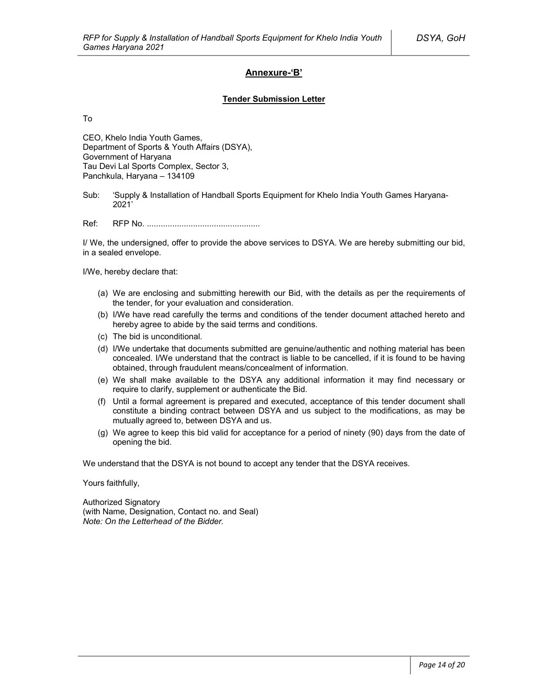### **Annexure-'B'**

#### **Tender Submission Letter**

To

CEO, Khelo India Youth Games, Department of Sports & Youth Affairs (DSYA), Government of Haryana Tau Devi Lal Sports Complex, Sector 3, Panchkula, Haryana – 134109

Sub: 'Supply & Installation of Handball Sports Equipment for Khelo India Youth Games Haryana-2021'

Ref: RFP No. .................................................

I/ We, the undersigned, offer to provide the above services to DSYA. We are hereby submitting our bid, in a sealed envelope.

I/We, hereby declare that:

- (a) We are enclosing and submitting herewith our Bid, with the details as per the requirements of the tender, for your evaluation and consideration.
- (b) I/We have read carefully the terms and conditions of the tender document attached hereto and hereby agree to abide by the said terms and conditions.
- (c) The bid is unconditional.
- (d) I/We undertake that documents submitted are genuine/authentic and nothing material has been concealed. I/We understand that the contract is liable to be cancelled, if it is found to be having obtained, through fraudulent means/concealment of information.
- (e) We shall make available to the DSYA any additional information it may find necessary or require to clarify, supplement or authenticate the Bid.
- (f) Until a formal agreement is prepared and executed, acceptance of this tender document shall constitute a binding contract between DSYA and us subject to the modifications, as may be mutually agreed to, between DSYA and us.
- (g) We agree to keep this bid valid for acceptance for a period of ninety (90) days from the date of opening the bid.

We understand that the DSYA is not bound to accept any tender that the DSYA receives.

Yours faithfully,

Authorized Signatory (with Name, Designation, Contact no. and Seal) *Note: On the Letterhead of the Bidder.*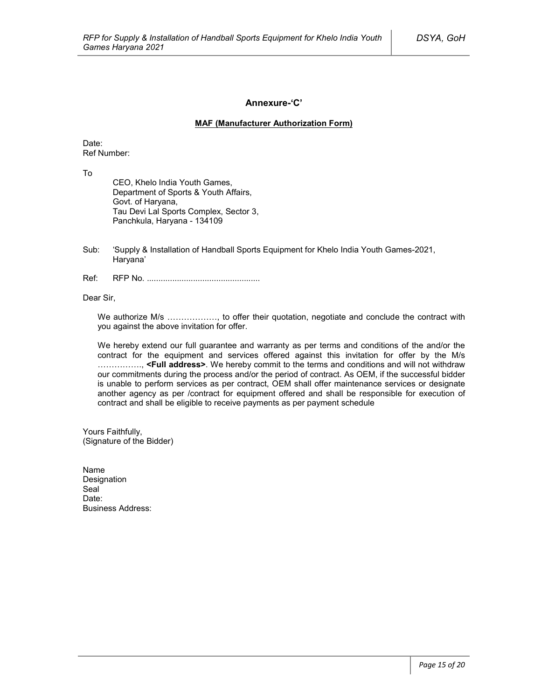### **Annexure-'C'**

#### **MAF (Manufacturer Authorization Form)**

Date: Ref Number:

To

CEO, Khelo India Youth Games, Department of Sports & Youth Affairs, Govt. of Haryana, Tau Devi Lal Sports Complex, Sector 3, Panchkula, Haryana - 134109

- Sub: 'Supply & Installation of Handball Sports Equipment for Khelo India Youth Games-2021, Haryana'
- Ref: RFP No. .................................................

Dear Sir,

We authorize M/s ………………, to offer their quotation, negotiate and conclude the contract with you against the above invitation for offer.

We hereby extend our full guarantee and warranty as per terms and conditions of the and/or the contract for the equipment and services offered against this invitation for offer by the M/s ……………., **<Full address>**. We hereby commit to the terms and conditions and will not withdraw our commitments during the process and/or the period of contract. As OEM, if the successful bidder is unable to perform services as per contract, OEM shall offer maintenance services or designate another agency as per /contract for equipment offered and shall be responsible for execution of contract and shall be eligible to receive payments as per payment schedule

Yours Faithfully, (Signature of the Bidder)

Name Designation Seal<sup>1</sup> Date<sup>.</sup> Business Address: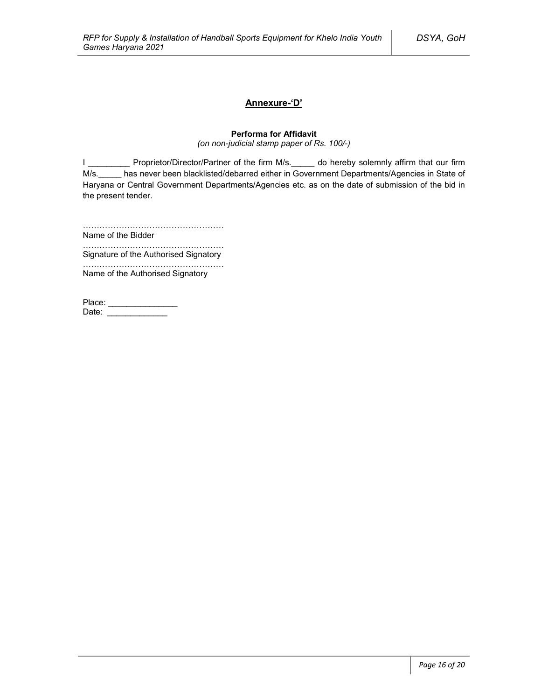### **Annexure-'D'**

### **Performa for Affidavit**

*(on non-judicial stamp paper of Rs. 100/-)*

I \_\_\_\_\_\_\_\_\_\_\_ Proprietor/Director/Partner of the firm M/s.\_\_\_\_\_ do hereby solemnly affirm that our firm M/s. has never been blacklisted/debarred either in Government Departments/Agencies in State of Haryana or Central Government Departments/Agencies etc. as on the date of submission of the bid in the present tender.

……………………………………………

Name of the Bidder ……………………………………………

Signature of the Authorised Signatory

…………………………………………… Name of the Authorised Signatory

| Place: |  |
|--------|--|
| Date:  |  |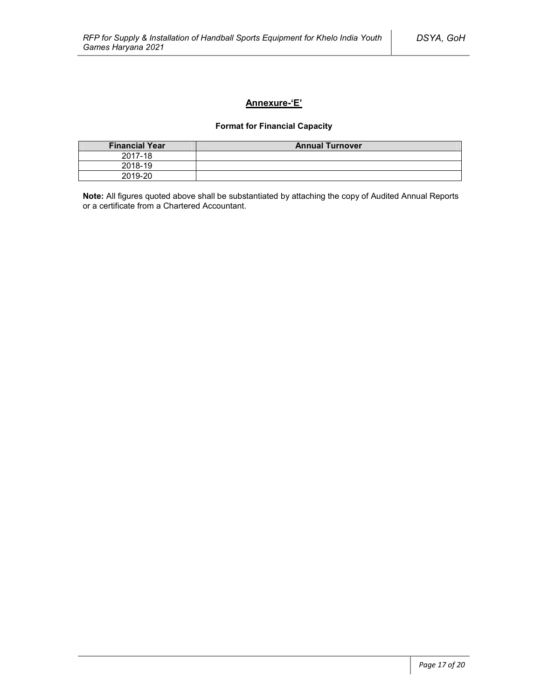### **Annexure-'E'**

### **Format for Financial Capacity**

| <b>Financial Year</b> | <b>Annual Turnover</b> |
|-----------------------|------------------------|
| 2017-18               |                        |
| 2018-19               |                        |
| 2019-20               |                        |

**Note:** All figures quoted above shall be substantiated by attaching the copy of Audited Annual Reports or a certificate from a Chartered Accountant.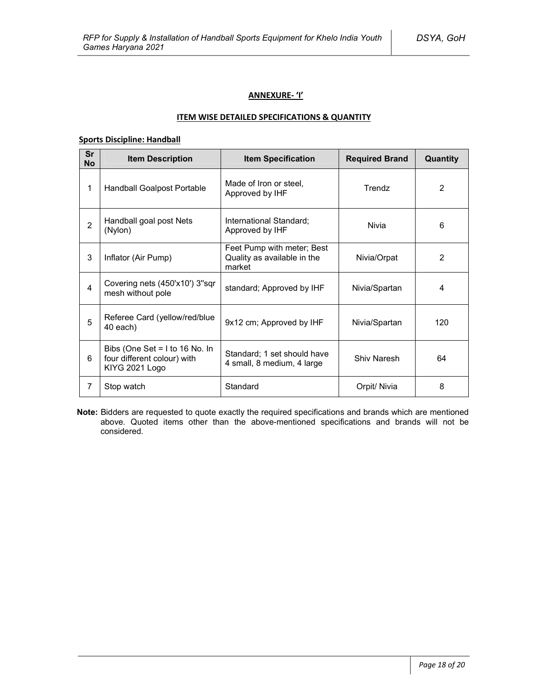### **ANNEXURE- 'I'**

### **ITEM WISE DETAILED SPECIFICATIONS & QUANTITY**

### **Sports Discipline: Handball**

| <b>Sr</b><br><b>No</b> | <b>Item Description</b>                                                           | <b>Item Specification</b>                                           | <b>Required Brand</b> | Quantity       |
|------------------------|-----------------------------------------------------------------------------------|---------------------------------------------------------------------|-----------------------|----------------|
| 1                      | Handball Goalpost Portable                                                        | Made of Iron or steel,<br>Approved by IHF                           | Trendz                | $\overline{2}$ |
| $\overline{2}$         | Handball goal post Nets<br>(Nylon)                                                | International Standard;<br>Approved by IHF                          | Nivia                 | 6              |
| 3                      | Inflator (Air Pump)                                                               | Feet Pump with meter; Best<br>Quality as available in the<br>market | Nivia/Orpat           | $\overline{2}$ |
| 4                      | Covering nets (450'x10') 3"sqr<br>mesh without pole                               | standard; Approved by IHF                                           | Nivia/Spartan         | 4              |
| 5                      | Referee Card (yellow/red/blue<br>40 each)                                         | 9x12 cm; Approved by IHF                                            | Nivia/Spartan         | 120            |
| 6                      | Bibs (One Set = $1$ to 16 No. In<br>four different colour) with<br>KIYG 2021 Logo | Standard; 1 set should have<br>4 small, 8 medium, 4 large           | Shiv Naresh           | 64             |
| 7                      | Stop watch                                                                        | Standard                                                            | Orpit/ Nivia          | 8              |

**Note:** Bidders are requested to quote exactly the required specifications and brands which are mentioned above. Quoted items other than the above-mentioned specifications and brands will not be considered.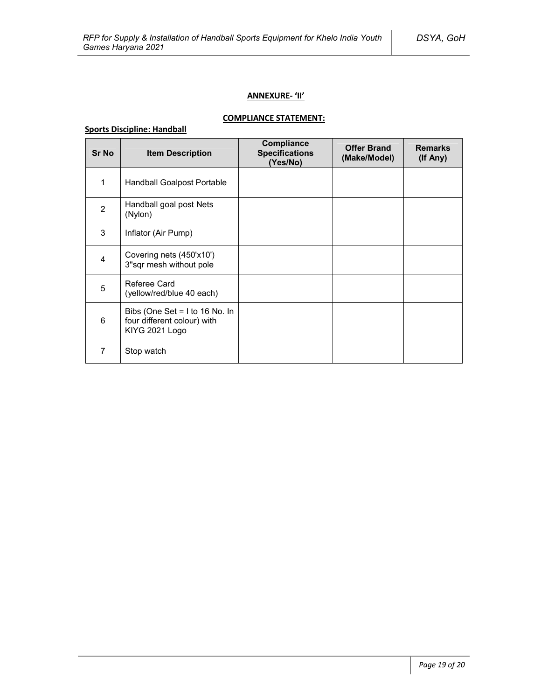### **ANNEXURE- 'II'**

# **COMPLIANCE STATEMENT:**

### **Sports Discipline: Handball**

| <b>Sr No</b>   | <b>Item Description</b>                                                           | Compliance<br><b>Specifications</b><br>(Yes/No) | <b>Offer Brand</b><br>(Make/Model) | <b>Remarks</b><br>(If Any) |
|----------------|-----------------------------------------------------------------------------------|-------------------------------------------------|------------------------------------|----------------------------|
| 1              | Handball Goalpost Portable                                                        |                                                 |                                    |                            |
| $\overline{2}$ | Handball goal post Nets<br>(Nylon)                                                |                                                 |                                    |                            |
| 3              | Inflator (Air Pump)                                                               |                                                 |                                    |                            |
| $\overline{4}$ | Covering nets (450'x10')<br>3"sqr mesh without pole                               |                                                 |                                    |                            |
| 5              | Referee Card<br>(yellow/red/blue 40 each)                                         |                                                 |                                    |                            |
| 6              | Bibs (One Set = $1$ to 16 No. In<br>four different colour) with<br>KIYG 2021 Logo |                                                 |                                    |                            |
| 7              | Stop watch                                                                        |                                                 |                                    |                            |